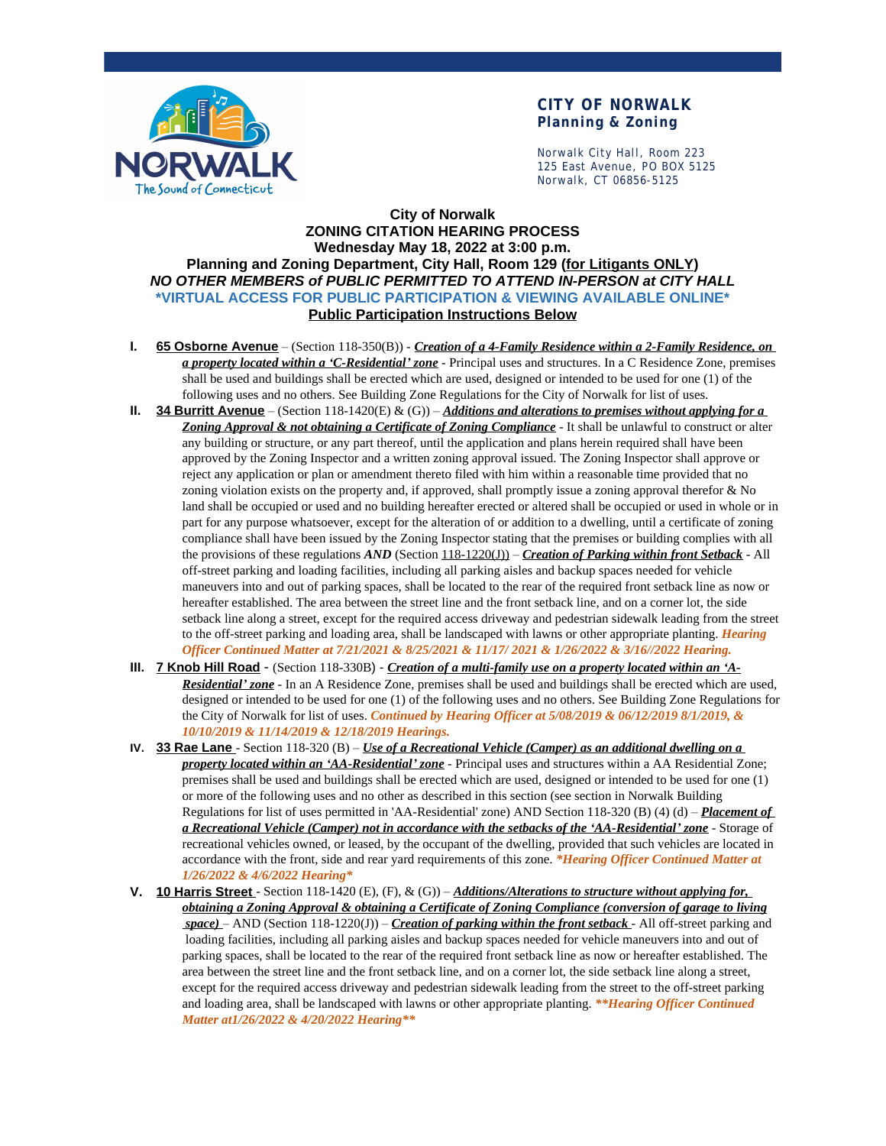

### **CITY OF NORWALK Planning & Zoning**

Norwalk City Hall, Room 223 125 East Avenue, PO BOX 5125 Norwalk, CT 06856-5125

### **City of Norwalk ZONING CITATION HEARING PROCESS Wednesday May 18, 2022 at 3:00 p.m. Planning and Zoning Department, City Hall, Room 129 (for Litigants ONLY)** *NO OTHER MEMBERS of PUBLIC PERMITTED TO ATTEND IN-PERSON at CITY HALL* **\*VIRTUAL ACCESS FOR PUBLIC PARTICIPATION & VIEWING AVAILABLE ONLINE\* Public Participation Instructions Below**

- **I. 65 Osborne Avenue** (Section 118-350(B)) *Creation of a 4-Family Residence within a 2-Family Residence, on a property located within a 'C-Residential' zone* - Principal uses and structures. In a C Residence Zone, premises shall be used and buildings shall be erected which are used, designed or intended to be used for one (1) of the following uses and no others. See Building Zone Regulations for the City of Norwalk for list of uses.
- **II. 34 Burritt Avenue** (Section 118-1420(E) & (G)) *Additions and alterations to premises without applying for a Zoning Approval & not obtaining a Certificate of Zoning Compliance* - It shall be unlawful to construct or alter any building or structure, or any part thereof, until the application and plans herein required shall have been approved by the Zoning Inspector and a written zoning approval issued. The Zoning Inspector shall approve or reject any application or plan or amendment thereto filed with him within a reasonable time provided that no zoning violation exists on the property and, if approved, shall promptly issue a zoning approval therefor & No land shall be occupied or used and no building hereafter erected or altered shall be occupied or used in whole or in part for any purpose whatsoever, except for the alteration of or addition to a dwelling, until a certificate of zoning compliance shall have been issued by the Zoning Inspector stating that the premises or building complies with all the provisions of these regulations *AND* (Section 118-1220(J)) – *Creation of Parking within front Setback* - All off-street parking and loading facilities, including all parking aisles and backup spaces needed for vehicle maneuvers into and out of parking spaces, shall be located to the rear of the required front setback line as now or hereafter established. The area between the street line and the front setback line, and on a corner lot, the side setback line along a street, except for the required access driveway and pedestrian sidewalk leading from the street to the off-street parking and loading area, shall be landscaped with lawns or other appropriate planting. *Hearing Officer Continued Matter at 7/21/2021 & 8/25/2021 & 11/17/ 2021 & 1/26/2022 & 3/16//2022 Hearing.*
- **III. 7 Knob Hill Road** (Section 118-330B) *Creation of a multi-family use on a property located within an 'A-Residential' zone* - In an A Residence Zone, premises shall be used and buildings shall be erected which are used, designed or intended to be used for one (1) of the following uses and no others. See Building Zone Regulations for the City of Norwalk for list of uses. *Continued by Hearing Officer at 5/08/2019 & 06/12/2019 8/1/2019, & 10/10/2019 & 11/14/2019 & 12/18/2019 Hearings.*
- **IV. 33 Rae Lane**  Section 118-320 (B) *Use of a Recreational Vehicle (Camper) as an additional dwelling on a property located within an 'AA-Residential' zone* - Principal uses and structures within a AA Residential Zone; premises shall be used and buildings shall be erected which are used, designed or intended to be used for one (1) or more of the following uses and no other as described in this section (see section in Norwalk Building Regulations for list of uses permitted in 'AA-Residential' zone) AND Section 118-320 (B) (4) (d) – *Placement of a Recreational Vehicle (Camper) not in accordance with the setbacks of the 'AA-Residential' zone* - Storage of recreational vehicles owned, or leased, by the occupant of the dwelling, provided that such vehicles are located in accordance with the front, side and rear yard requirements of this zone. *\*Hearing Officer Continued Matter at 1/26/2022 & 4/6/2022 Hearing\**
- **V. 10 Harris Street**  Section 118-1420 (E), (F), & (G)) *Additions/Alterations to structure without applying for, obtaining a Zoning Approval & obtaining a Certificate of Zoning Compliance (conversion of garage to living space)* – AND (Section 118-1220(J)) – *Creation of parking within the front setback* - All off-street parking and loading facilities, including all parking aisles and backup spaces needed for vehicle maneuvers into and out of parking spaces, shall be located to the rear of the required front setback line as now or hereafter established. The area between the street line and the front setback line, and on a corner lot, the side setback line along a street, except for the required access driveway and pedestrian sidewalk leading from the street to the off-street parking and loading area, shall be landscaped with lawns or other appropriate planting. *\*\*Hearing Officer Continued Matter at1/26/2022 & 4/20/2022 Hearing\*\**